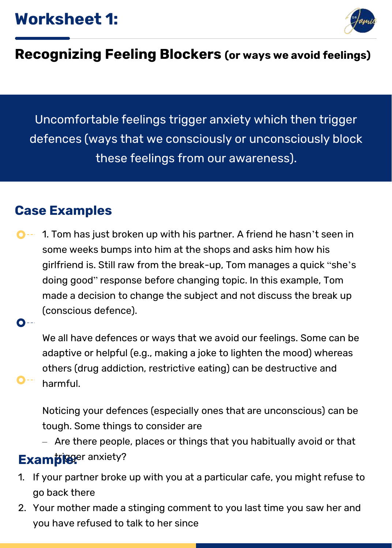

### **Recognizing Feeling Blockers (or ways we avoid feelings)**

Uncomfortable feelings trigger anxiety which then trigger defences (ways that we consciously or unconsciously block these feelings from our awareness).

#### **Case Examples**

1. Tom has just broken up with his partner. A friend he hasn't seen in  $\bullet$  -  $\bullet$ some weeks bumps into him at the shops and asks him how his girlfriend is. Still raw from the break-up, Tom manages a quick "she's doing good" response before changing topic. In this example, Tom made a decision to change the subject and not discuss the break up (conscious defence).

 $\bullet$ --

We all have defences or ways that we avoid our feelings. Some can be adaptive or helpful (e.g., making a joke to lighten the mood) whereas others (drug addiction, restrictive eating) can be destructive and

harmful.

Noticing your defences (especially ones that are unconscious) can be tough. Some things to consider are

– Are there people, places or things that you habitually avoid or that

## **Example**: anxiety?

- 1. If your partner broke up with you at a particular cafe, you might refuse to go back there
- 2. Your mother made a stinging comment to you last time you saw her and you have refused to talk to her since